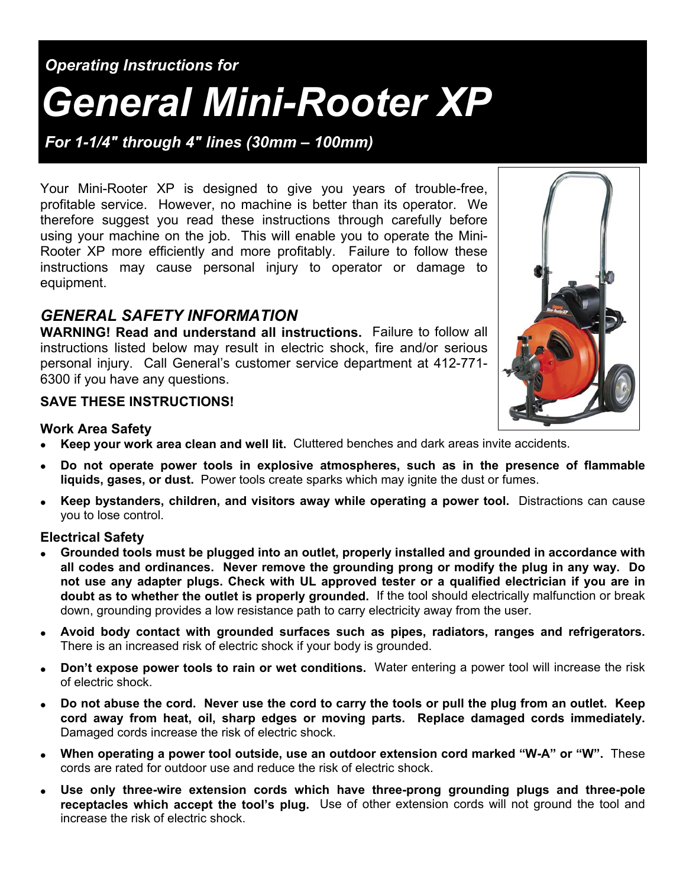*Operating Instructions for General Mini-Rooter XP* 

 *For 1-1/4" through 4" lines (30mm – 100mm)* 

Your Mini-Rooter XP is designed to give you years of trouble-free, profitable service. However, no machine is better than its operator. We therefore suggest you read these instructions through carefully before using your machine on the job. This will enable you to operate the Mini-Rooter XP more efficiently and more profitably. Failure to follow these instructions may cause personal injury to operator or damage to equipment.

# *GENERAL SAFETY INFORMATION*

**WARNING! Read and understand all instructions.** Failure to follow all instructions listed below may result in electric shock, fire and/or serious personal injury. Call General's customer service department at 412-771- 6300 if you have any questions.



## **Work Area Safety**

- **Keep your work area clean and well lit.** Cluttered benches and dark areas invite accidents.
- **Do not operate power tools in explosive atmospheres, such as in the presence of flammable liquids, gases, or dust.** Power tools create sparks which may ignite the dust or fumes.
- **Keep bystanders, children, and visitors away while operating a power tool.** Distractions can cause you to lose control.

#### **Electrical Safety**

- **Grounded tools must be plugged into an outlet, properly installed and grounded in accordance with all codes and ordinances. Never remove the grounding prong or modify the plug in any way. Do not use any adapter plugs. Check with UL approved tester or a qualified electrician if you are in doubt as to whether the outlet is properly grounded.** If the tool should electrically malfunction or break down, grounding provides a low resistance path to carry electricity away from the user.
- **Avoid body contact with grounded surfaces such as pipes, radiators, ranges and refrigerators.** There is an increased risk of electric shock if your body is grounded.
- **Don't expose power tools to rain or wet conditions.** Water entering a power tool will increase the risk of electric shock.
- **Do not abuse the cord. Never use the cord to carry the tools or pull the plug from an outlet. Keep cord away from heat, oil, sharp edges or moving parts. Replace damaged cords immediately.** Damaged cords increase the risk of electric shock.
- **When operating a power tool outside, use an outdoor extension cord marked "W-A" or "W".** These cords are rated for outdoor use and reduce the risk of electric shock.
- **Use only three-wire extension cords which have three-prong grounding plugs and three-pole receptacles which accept the tool's plug.** Use of other extension cords will not ground the tool and increase the risk of electric shock.

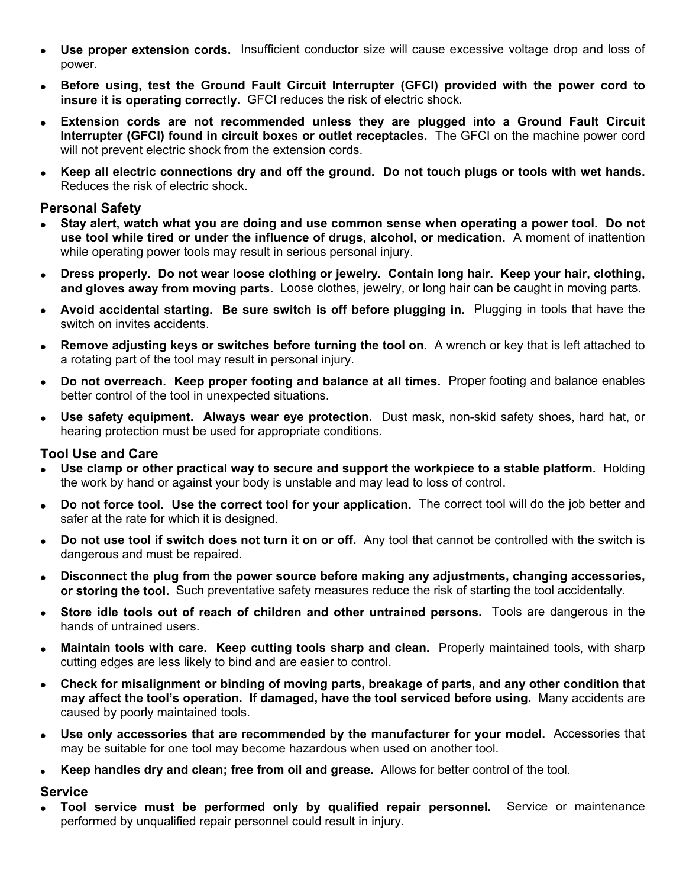- **Use proper extension cords.** Insufficient conductor size will cause excessive voltage drop and loss of power.
- **Before using, test the Ground Fault Circuit Interrupter (GFCI) provided with the power cord to insure it is operating correctly.** GFCI reduces the risk of electric shock.
- **Extension cords are not recommended unless they are plugged into a Ground Fault Circuit Interrupter (GFCI) found in circuit boxes or outlet receptacles.** The GFCI on the machine power cord will not prevent electric shock from the extension cords.
- **Keep all electric connections dry and off the ground. Do not touch plugs or tools with wet hands.**  Reduces the risk of electric shock.

## **Personal Safety**

- **Stay alert, watch what you are doing and use common sense when operating a power tool. Do not use tool while tired or under the influence of drugs, alcohol, or medication.** A moment of inattention while operating power tools may result in serious personal injury.
- **Dress properly. Do not wear loose clothing or jewelry. Contain long hair. Keep your hair, clothing, and gloves away from moving parts.** Loose clothes, jewelry, or long hair can be caught in moving parts.
- **Avoid accidental starting. Be sure switch is off before plugging in.** Plugging in tools that have the switch on invites accidents.
- **Remove adjusting keys or switches before turning the tool on.** A wrench or key that is left attached to a rotating part of the tool may result in personal injury.
- **Do not overreach. Keep proper footing and balance at all times.** Proper footing and balance enables better control of the tool in unexpected situations.
- **Use safety equipment. Always wear eye protection.** Dust mask, non-skid safety shoes, hard hat, or hearing protection must be used for appropriate conditions.

#### **Tool Use and Care**

- **Use clamp or other practical way to secure and support the workpiece to a stable platform.** Holding the work by hand or against your body is unstable and may lead to loss of control.
- **Do not force tool. Use the correct tool for your application.** The correct tool will do the job better and safer at the rate for which it is designed.
- **Do not use tool if switch does not turn it on or off.** Any tool that cannot be controlled with the switch is dangerous and must be repaired.
- **Disconnect the plug from the power source before making any adjustments, changing accessories, or storing the tool.** Such preventative safety measures reduce the risk of starting the tool accidentally.
- **Store idle tools out of reach of children and other untrained persons.** Tools are dangerous in the hands of untrained users.
- **Maintain tools with care. Keep cutting tools sharp and clean.** Properly maintained tools, with sharp cutting edges are less likely to bind and are easier to control.
- **Check for misalignment or binding of moving parts, breakage of parts, and any other condition that may affect the tool's operation. If damaged, have the tool serviced before using.** Many accidents are caused by poorly maintained tools.
- **Use only accessories that are recommended by the manufacturer for your model.** Accessories that may be suitable for one tool may become hazardous when used on another tool.
- **Keep handles dry and clean; free from oil and grease.** Allows for better control of the tool.

#### **Service**

• **Tool service must be performed only by qualified repair personnel.** Service or maintenance performed by unqualified repair personnel could result in injury.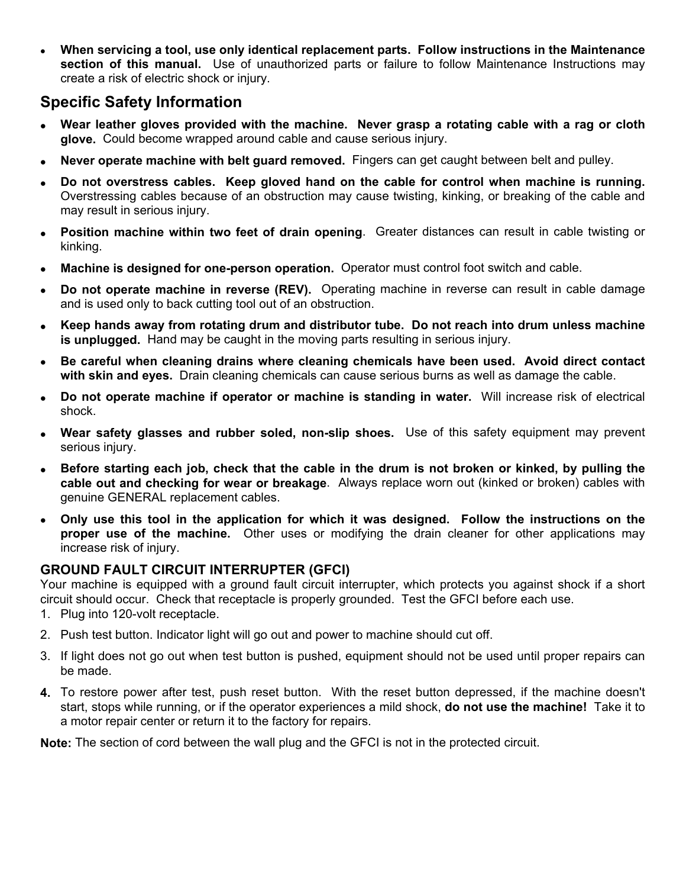• **When servicing a tool, use only identical replacement parts. Follow instructions in the Maintenance section of this manual.** Use of unauthorized parts or failure to follow Maintenance Instructions may create a risk of electric shock or injury.

# **Specific Safety Information**

- **Wear leather gloves provided with the machine. Never grasp a rotating cable with a rag or cloth glove.** Could become wrapped around cable and cause serious injury.
- **Never operate machine with belt guard removed.** Fingers can get caught between belt and pulley.
- **Do not overstress cables. Keep gloved hand on the cable for control when machine is running.**  Overstressing cables because of an obstruction may cause twisting, kinking, or breaking of the cable and may result in serious injury.
- **Position machine within two feet of drain opening**. Greater distances can result in cable twisting or kinking.
- **Machine is designed for one-person operation.** Operator must control foot switch and cable.
- **Do not operate machine in reverse (REV).** Operating machine in reverse can result in cable damage and is used only to back cutting tool out of an obstruction.
- **Keep hands away from rotating drum and distributor tube. Do not reach into drum unless machine is unplugged.** Hand may be caught in the moving parts resulting in serious injury.
- **Be careful when cleaning drains where cleaning chemicals have been used. Avoid direct contact with skin and eyes.** Drain cleaning chemicals can cause serious burns as well as damage the cable.
- **Do not operate machine if operator or machine is standing in water.** Will increase risk of electrical shock.
- **Wear safety glasses and rubber soled, non-slip shoes.** Use of this safety equipment may prevent serious injury.
- **Before starting each job, check that the cable in the drum is not broken or kinked, by pulling the cable out and checking for wear or breakage**. Always replace worn out (kinked or broken) cables with genuine GENERAL replacement cables.
- **Only use this tool in the application for which it was designed. Follow the instructions on the proper use of the machine.** Other uses or modifying the drain cleaner for other applications may increase risk of injury.

# **GROUND FAULT CIRCUIT INTERRUPTER (GFCI)**

Your machine is equipped with a ground fault circuit interrupter, which protects you against shock if a short circuit should occur. Check that receptacle is properly grounded. Test the GFCI before each use.

- 1. Plug into 120-volt receptacle.
- 2. Push test button. Indicator light will go out and power to machine should cut off.
- 3. If light does not go out when test button is pushed, equipment should not be used until proper repairs can be made.
- **4.** To restore power after test, push reset button. With the reset button depressed, if the machine doesn't start, stops while running, or if the operator experiences a mild shock, **do not use the machine!** Take it to a motor repair center or return it to the factory for repairs.

**Note:** The section of cord between the wall plug and the GFCI is not in the protected circuit.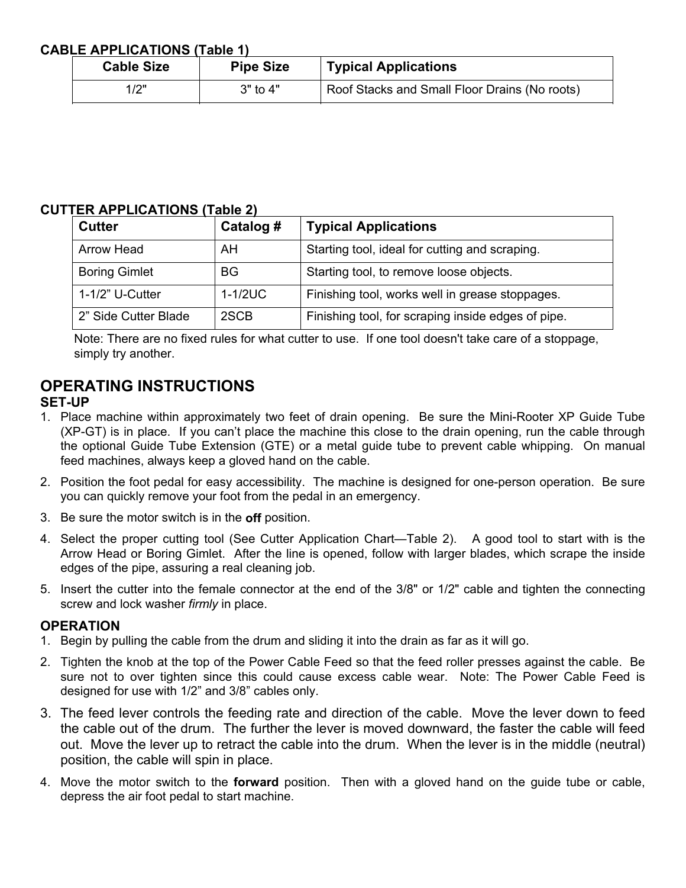# **CABLE APPLICATIONS (Table 1)**

| <b>Cable Size</b> | <b>Pipe Size</b> | <b>Typical Applications</b>                   |
|-------------------|------------------|-----------------------------------------------|
| 1/2"              | $3"$ to $4"$     | Roof Stacks and Small Floor Drains (No roots) |

# **CUTTER APPLICATIONS (Table 2)**

| <b>Cutter</b>        | Catalog # | <b>Typical Applications</b>                        |
|----------------------|-----------|----------------------------------------------------|
| <b>Arrow Head</b>    | AH.       | Starting tool, ideal for cutting and scraping.     |
| <b>Boring Gimlet</b> | BG.       | Starting tool, to remove loose objects.            |
| $1-1/2$ " U-Cutter   | $1-1/2UC$ | Finishing tool, works well in grease stoppages.    |
| 2" Side Cutter Blade | 2SCB      | Finishing tool, for scraping inside edges of pipe. |

 Note: There are no fixed rules for what cutter to use. If one tool doesn't take care of a stoppage, simply try another.

# **OPERATING INSTRUCTIONS**

## **SET-UP**

- 1. Place machine within approximately two feet of drain opening. Be sure the Mini-Rooter XP Guide Tube (XP-GT) is in place. If you can't place the machine this close to the drain opening, run the cable through the optional Guide Tube Extension (GTE) or a metal guide tube to prevent cable whipping. On manual feed machines, always keep a gloved hand on the cable.
- 2. Position the foot pedal for easy accessibility. The machine is designed for one-person operation. Be sure you can quickly remove your foot from the pedal in an emergency.
- 3. Be sure the motor switch is in the **off** position.
- 4. Select the proper cutting tool (See Cutter Application Chart—Table 2). A good tool to start with is the Arrow Head or Boring Gimlet. After the line is opened, follow with larger blades, which scrape the inside edges of the pipe, assuring a real cleaning job.
- 5. Insert the cutter into the female connector at the end of the 3/8" or 1/2" cable and tighten the connecting screw and lock washer *firmly* in place.

# **OPERATION**

- 1. Begin by pulling the cable from the drum and sliding it into the drain as far as it will go.
- 2. Tighten the knob at the top of the Power Cable Feed so that the feed roller presses against the cable. Be sure not to over tighten since this could cause excess cable wear. Note: The Power Cable Feed is designed for use with 1/2" and 3/8" cables only.
- 3. The feed lever controls the feeding rate and direction of the cable. Move the lever down to feed the cable out of the drum. The further the lever is moved downward, the faster the cable will feed out. Move the lever up to retract the cable into the drum. When the lever is in the middle (neutral) position, the cable will spin in place.
- 4. Move the motor switch to the **forward** position. Then with a gloved hand on the guide tube or cable, depress the air foot pedal to start machine.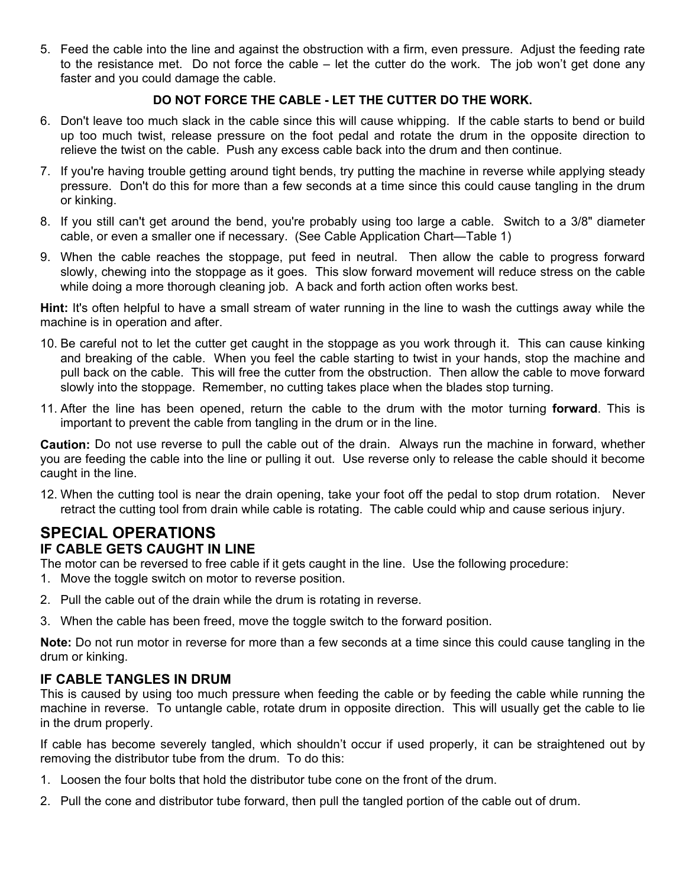5. Feed the cable into the line and against the obstruction with a firm, even pressure. Adjust the feeding rate to the resistance met. Do not force the cable – let the cutter do the work. The job won't get done any faster and you could damage the cable.

# **DO NOT FORCE THE CABLE - LET THE CUTTER DO THE WORK.**

- 6. Don't leave too much slack in the cable since this will cause whipping. If the cable starts to bend or build up too much twist, release pressure on the foot pedal and rotate the drum in the opposite direction to relieve the twist on the cable. Push any excess cable back into the drum and then continue.
- 7. If you're having trouble getting around tight bends, try putting the machine in reverse while applying steady pressure. Don't do this for more than a few seconds at a time since this could cause tangling in the drum or kinking.
- 8. If you still can't get around the bend, you're probably using too large a cable. Switch to a 3/8" diameter cable, or even a smaller one if necessary. (See Cable Application Chart—Table 1)
- 9. When the cable reaches the stoppage, put feed in neutral. Then allow the cable to progress forward slowly, chewing into the stoppage as it goes. This slow forward movement will reduce stress on the cable while doing a more thorough cleaning job. A back and forth action often works best.

**Hint:** It's often helpful to have a small stream of water running in the line to wash the cuttings away while the machine is in operation and after.

- 10. Be careful not to let the cutter get caught in the stoppage as you work through it. This can cause kinking and breaking of the cable. When you feel the cable starting to twist in your hands, stop the machine and pull back on the cable. This will free the cutter from the obstruction. Then allow the cable to move forward slowly into the stoppage. Remember, no cutting takes place when the blades stop turning.
- 11. After the line has been opened, return the cable to the drum with the motor turning **forward**. This is important to prevent the cable from tangling in the drum or in the line.

**Caution:** Do not use reverse to pull the cable out of the drain. Always run the machine in forward, whether you are feeding the cable into the line or pulling it out. Use reverse only to release the cable should it become caught in the line.

12. When the cutting tool is near the drain opening, take your foot off the pedal to stop drum rotation. Never retract the cutting tool from drain while cable is rotating. The cable could whip and cause serious injury.

#### **SPECIAL OPERATIONS IF CABLE GETS CAUGHT IN LINE**

The motor can be reversed to free cable if it gets caught in the line. Use the following procedure:

- 1. Move the toggle switch on motor to reverse position.
- 2. Pull the cable out of the drain while the drum is rotating in reverse.
- 3. When the cable has been freed, move the toggle switch to the forward position.

**Note:** Do not run motor in reverse for more than a few seconds at a time since this could cause tangling in the drum or kinking.

# **IF CABLE TANGLES IN DRUM**

This is caused by using too much pressure when feeding the cable or by feeding the cable while running the machine in reverse. To untangle cable, rotate drum in opposite direction. This will usually get the cable to lie in the drum properly.

If cable has become severely tangled, which shouldn't occur if used properly, it can be straightened out by removing the distributor tube from the drum. To do this:

- 1. Loosen the four bolts that hold the distributor tube cone on the front of the drum.
- 2. Pull the cone and distributor tube forward, then pull the tangled portion of the cable out of drum.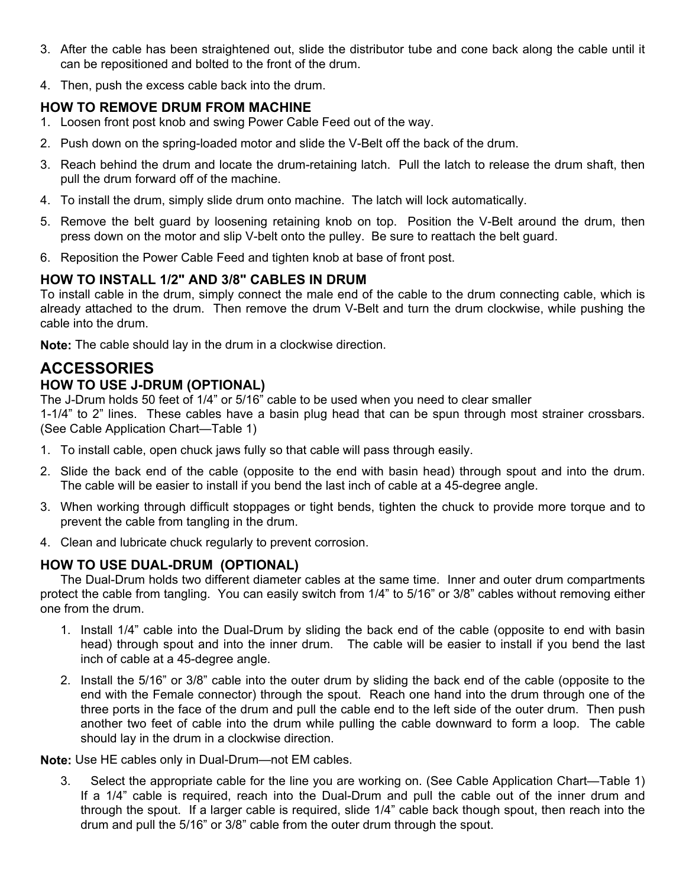- 3. After the cable has been straightened out, slide the distributor tube and cone back along the cable until it can be repositioned and bolted to the front of the drum.
- 4. Then, push the excess cable back into the drum.

# **HOW TO REMOVE DRUM FROM MACHINE**

- 1. Loosen front post knob and swing Power Cable Feed out of the way.
- 2. Push down on the spring-loaded motor and slide the V-Belt off the back of the drum.
- 3. Reach behind the drum and locate the drum-retaining latch. Pull the latch to release the drum shaft, then pull the drum forward off of the machine.
- 4. To install the drum, simply slide drum onto machine. The latch will lock automatically.
- 5. Remove the belt guard by loosening retaining knob on top. Position the V-Belt around the drum, then press down on the motor and slip V-belt onto the pulley. Be sure to reattach the belt guard.
- 6. Reposition the Power Cable Feed and tighten knob at base of front post.

## **HOW TO INSTALL 1/2" AND 3/8" CABLES IN DRUM**

To install cable in the drum, simply connect the male end of the cable to the drum connecting cable, which is already attached to the drum.Then remove the drum V-Belt and turn the drum clockwise, while pushing the cable into the drum.

**Note:** The cable should lay in the drum in a clockwise direction.

# **ACCESSORIES**

## **HOW TO USE J-DRUM (OPTIONAL)**

The J-Drum holds 50 feet of 1/4" or 5/16" cable to be used when you need to clear smaller

1-1/4" to 2" lines. These cables have a basin plug head that can be spun through most strainer crossbars. (See Cable Application Chart—Table 1)

- 1. To install cable, open chuck jaws fully so that cable will pass through easily.
- 2. Slide the back end of the cable (opposite to the end with basin head) through spout and into the drum. The cable will be easier to install if you bend the last inch of cable at a 45-degree angle.
- 3. When working through difficult stoppages or tight bends, tighten the chuck to provide more torque and to prevent the cable from tangling in the drum.
- 4. Clean and lubricate chuck regularly to prevent corrosion.

# **HOW TO USE DUAL-DRUM (OPTIONAL)**

 The Dual-Drum holds two different diameter cables at the same time. Inner and outer drum compartments protect the cable from tangling. You can easily switch from 1/4" to 5/16" or 3/8" cables without removing either one from the drum.

- 1. Install 1/4" cable into the Dual-Drum by sliding the back end of the cable (opposite to end with basin head) through spout and into the inner drum. The cable will be easier to install if you bend the last inch of cable at a 45-degree angle.
- 2. Install the 5/16" or 3/8" cable into the outer drum by sliding the back end of the cable (opposite to the end with the Female connector) through the spout. Reach one hand into the drum through one of the three ports in the face of the drum and pull the cable end to the left side of the outer drum. Then push another two feet of cable into the drum while pulling the cable downward to form a loop. The cable should lay in the drum in a clockwise direction.

**Note:** Use HE cables only in Dual-Drum—not EM cables.

3. Select the appropriate cable for the line you are working on. (See Cable Application Chart—Table 1) If a 1/4" cable is required, reach into the Dual-Drum and pull the cable out of the inner drum and through the spout. If a larger cable is required, slide 1/4" cable back though spout, then reach into the drum and pull the 5/16" or 3/8" cable from the outer drum through the spout.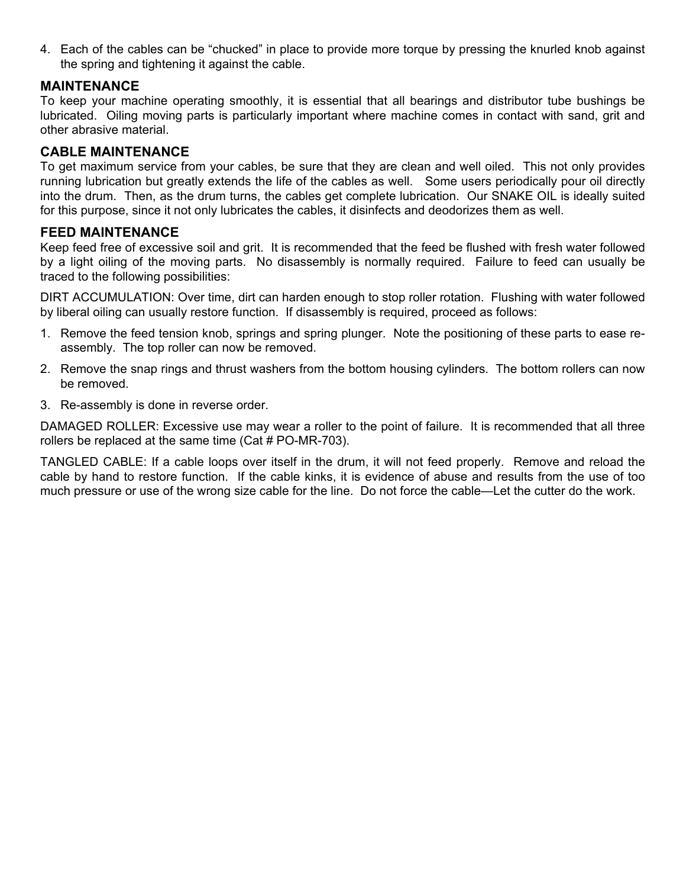4. Each of the cables can be "chucked" in place to provide more torque by pressing the knurled knob against the spring and tightening it against the cable.

#### **MAINTENANCE**

To keep your machine operating smoothly, it is essential that all bearings and distributor tube bushings be lubricated. Oiling moving parts is particularly important where machine comes in contact with sand, grit and other abrasive material.

## **CABLE MAINTENANCE**

To get maximum service from your cables, be sure that they are clean and well oiled. This not only provides running lubrication but greatly extends the life of the cables as well. Some users periodically pour oil directly into the drum. Then, as the drum turns, the cables get complete lubrication. Our SNAKE OIL is ideally suited for this purpose, since it not only lubricates the cables, it disinfects and deodorizes them as well.

#### **FEED MAINTENANCE**

Keep feed free of excessive soil and grit. It is recommended that the feed be flushed with fresh water followed by a light oiling of the moving parts. No disassembly is normally required. Failure to feed can usually be traced to the following possibilities:

DIRT ACCUMULATION: Over time, dirt can harden enough to stop roller rotation. Flushing with water followed by liberal oiling can usually restore function. If disassembly is required, proceed as follows:

- 1. Remove the feed tension knob, springs and spring plunger. Note the positioning of these parts to ease reassembly. The top roller can now be removed.
- 2. Remove the snap rings and thrust washers from the bottom housing cylinders. The bottom rollers can now be removed.
- 3. Re-assembly is done in reverse order.

DAMAGED ROLLER: Excessive use may wear a roller to the point of failure. It is recommended that all three rollers be replaced at the same time (Cat # PO-MR-703).

TANGLED CABLE: If a cable loops over itself in the drum, it will not feed properly. Remove and reload the cable by hand to restore function. If the cable kinks, it is evidence of abuse and results from the use of too much pressure or use of the wrong size cable for the line. Do not force the cable—Let the cutter do the work.